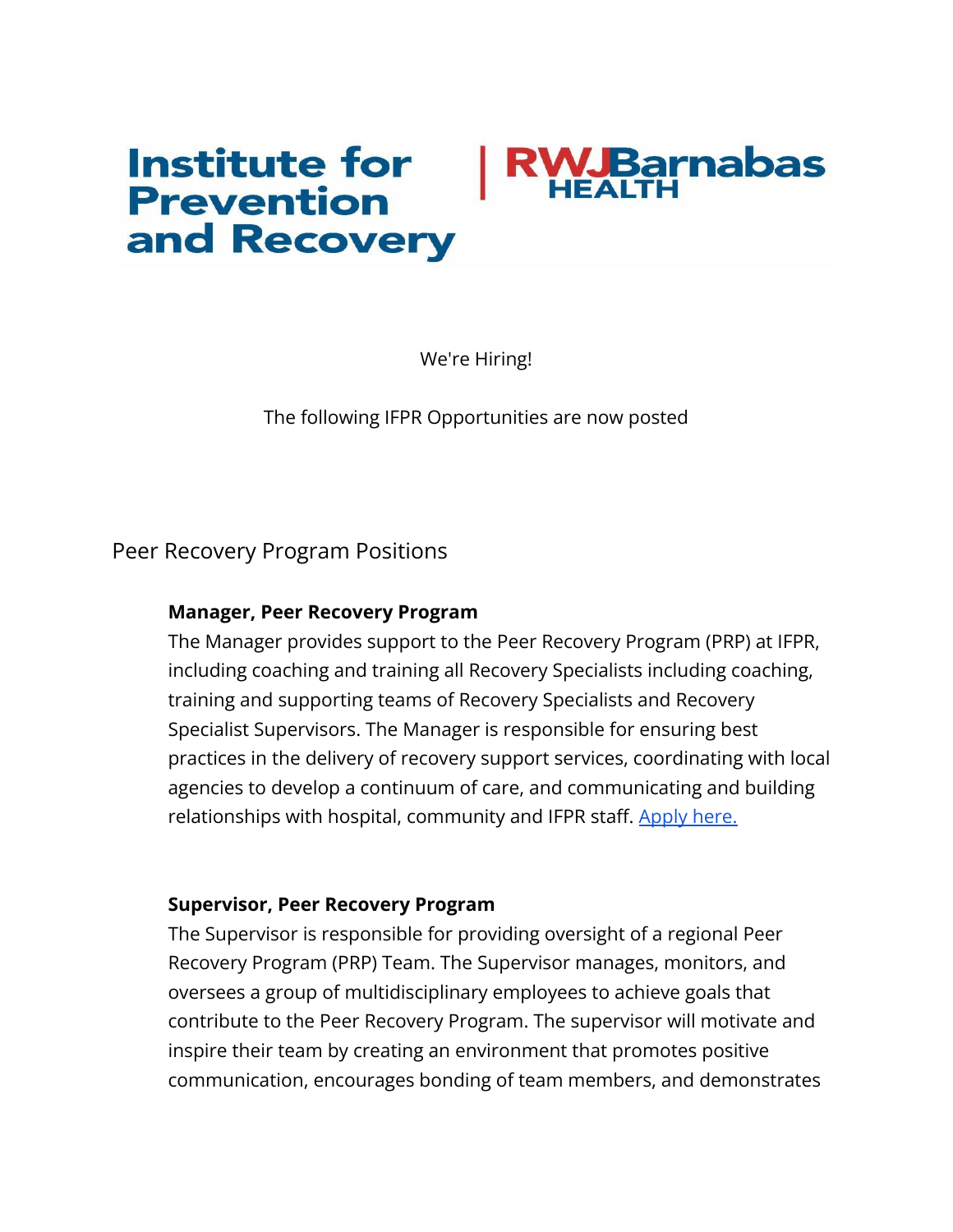# **Institute for Barnabas Prevention** and Recovery

We're Hiring!

The following IFPR Opportunities are now posted

Peer Recovery Program Positions

# **Manager, Peer Recovery Program**

The Manager provides support to the Peer Recovery Program (PRP) at IFPR, including coaching and training all Recovery Specialists including coaching, training and supporting teams of Recovery Specialists and Recovery Specialist Supervisors. The Manager is responsible for ensuring best practices in the delivery of recovery support services, coordinating with local agencies to develop a continuum of care, and communicating and building relationships with hospital, community and IFPR staff. [Apply here.](https://pm.healthcaresource.com/cs/rwjbarnabashealth/#/job/44302)

# **Supervisor, Peer Recovery Program**

The Supervisor is responsible for providing oversight of a regional Peer Recovery Program (PRP) Team. The Supervisor manages, monitors, and oversees a group of multidisciplinary employees to achieve goals that contribute to the Peer Recovery Program. The supervisor will motivate and inspire their team by creating an environment that promotes positive communication, encourages bonding of team members, and demonstrates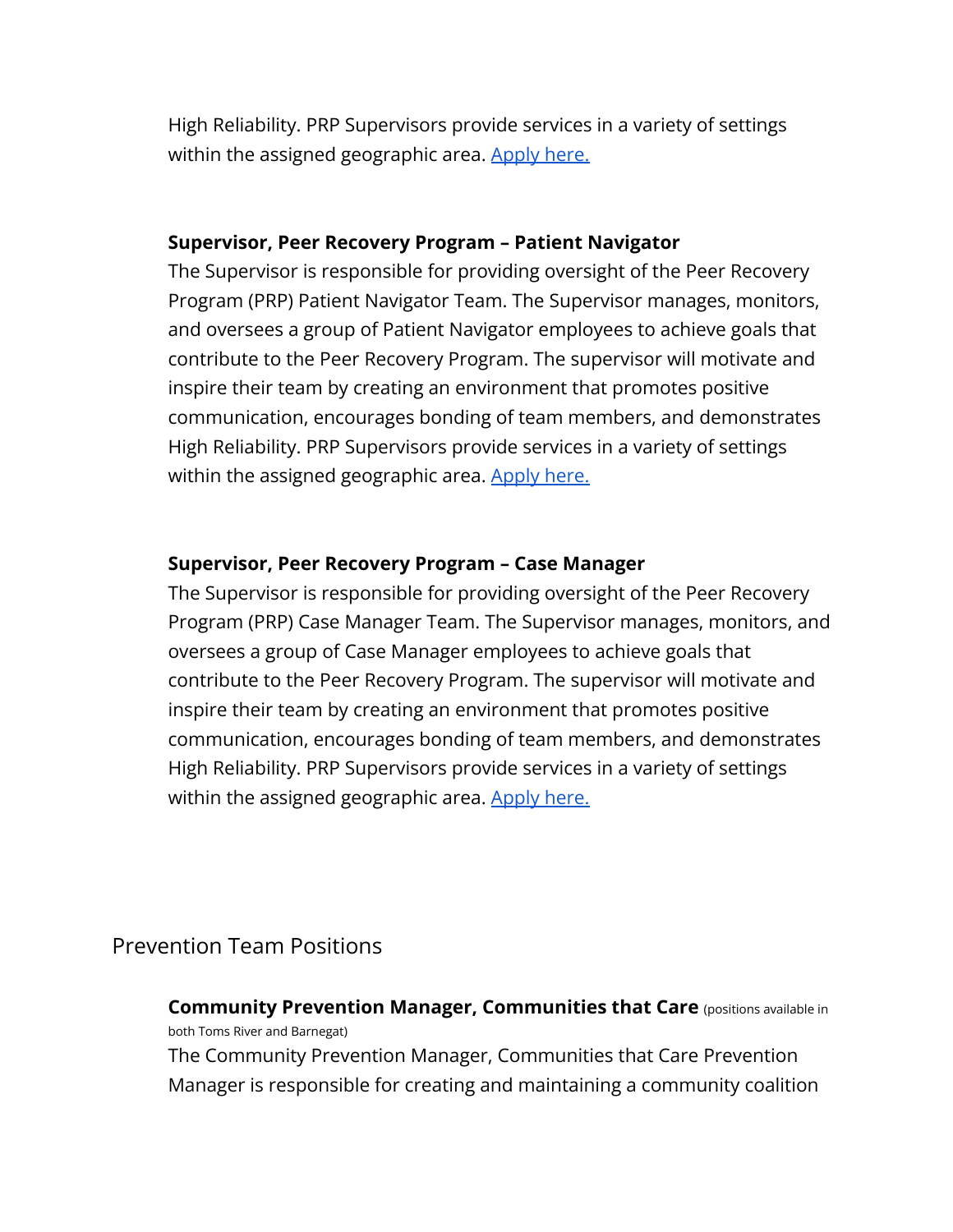High Reliability. PRP Supervisors provide services in a variety of settings within the assigned geographic area. [Apply here.](https://pm.healthcaresource.com/cs/rwjbarnabashealth/#/job/45151)

## **Supervisor, Peer Recovery Program – Patient Navigator**

The Supervisor is responsible for providing oversight of the Peer Recovery Program (PRP) Patient Navigator Team. The Supervisor manages, monitors, and oversees a group of Patient Navigator employees to achieve goals that contribute to the Peer Recovery Program. The supervisor will motivate and inspire their team by creating an environment that promotes positive communication, encourages bonding of team members, and demonstrates High Reliability. PRP Supervisors provide services in a variety of settings within the assigned geographic area. [Apply here.](https://pm.healthcaresource.com/cs/rwjbarnabashealth/#/job/45347)

# **Supervisor, Peer Recovery Program – Case Manager**

The Supervisor is responsible for providing oversight of the Peer Recovery Program (PRP) Case Manager Team. The Supervisor manages, monitors, and oversees a group of Case Manager employees to achieve goals that contribute to the Peer Recovery Program. The supervisor will motivate and inspire their team by creating an environment that promotes positive communication, encourages bonding of team members, and demonstrates High Reliability. PRP Supervisors provide services in a variety of settings within the assigned geographic area. [Apply here.](https://pm.healthcaresource.com/cs/rwjbarnabashealth/#/job/45348)

# Prevention Team Positions

**Community Prevention Manager, Communities that Care** (positions available in both Toms River and Barnegat) The Community Prevention Manager, Communities that Care Prevention

Manager is responsible for creating and maintaining a community coalition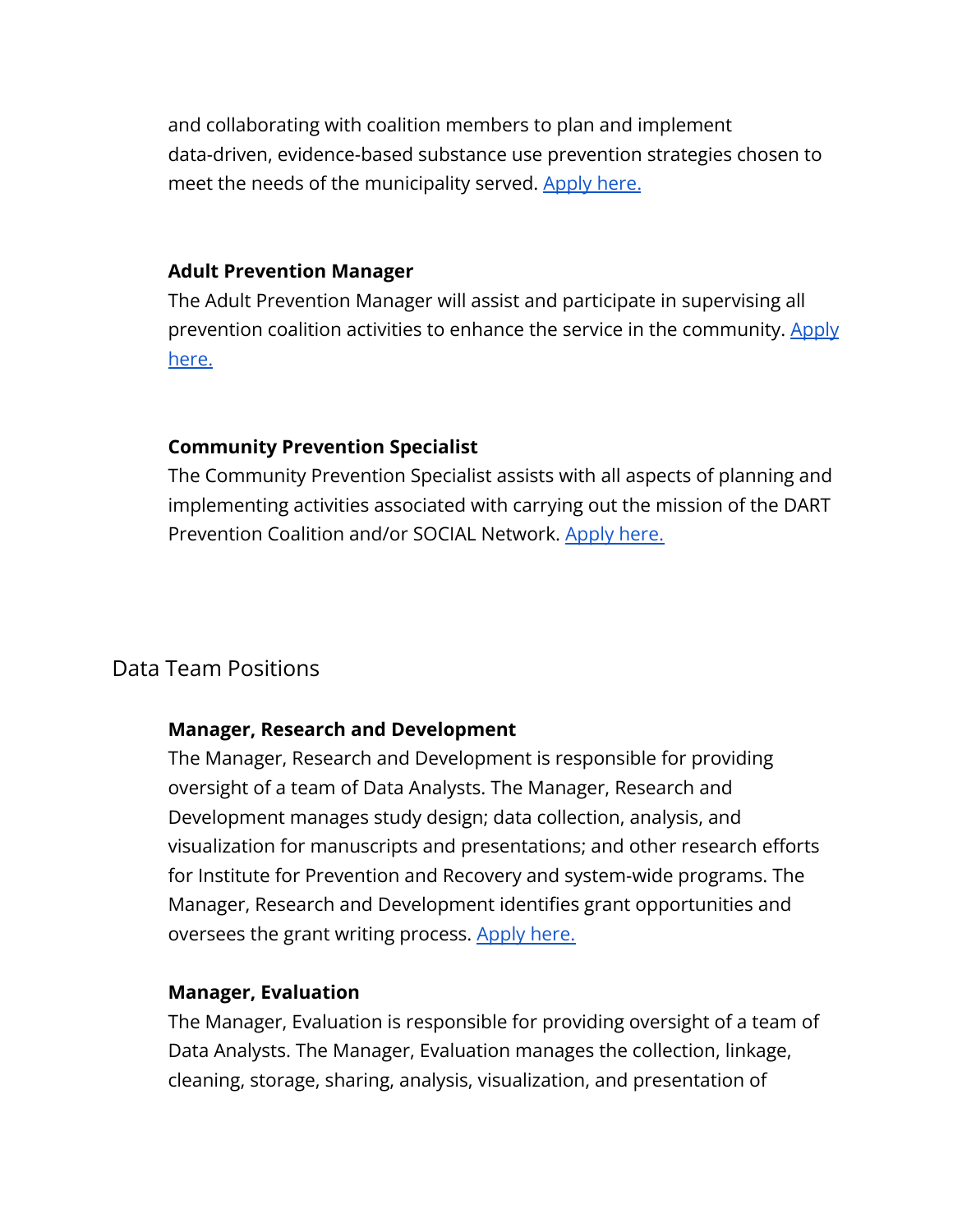and collaborating with coalition members to plan and implement data-driven, evidence-based substance use prevention strategies chosen to meet the needs of the municipality served. [Apply here.](https://pm.healthcaresource.com/cs/rwjbarnabashealth/#/job/44480)

#### **Adult Prevention Manager**

The Adult Prevention Manager will assist and participate in supervising all prevention coalition activities to enhance the service in the community. [Apply](https://pm.healthcaresource.com/cs/rwjbarnabashealth/#/job/44479) [here.](https://pm.healthcaresource.com/cs/rwjbarnabashealth/#/job/44479)

# **Community Prevention Specialist**

The Community Prevention Specialist assists with all aspects of planning and implementing activities associated with carrying out the mission of the DART Prevention Coalition and/or SOCIAL Network. [Apply](https://pm.healthcaresource.com/cs/rwjbarnabashealth/#/job/45624) here.

# Data Team Positions

## **Manager, Research and Development**

The Manager, Research and Development is responsible for providing oversight of a team of Data Analysts. The Manager, Research and Development manages study design; data collection, analysis, and visualization for manuscripts and presentations; and other research efforts for Institute for Prevention and Recovery and system-wide programs. The Manager, Research and Development identifies grant opportunities and oversees the grant writing process. [Apply here.](https://pm.healthcaresource.com/cs/rwjbarnabashealth/#/job/45313)

## **Manager, Evaluation**

The Manager, Evaluation is responsible for providing oversight of a team of Data Analysts. The Manager, Evaluation manages the collection, linkage, cleaning, storage, sharing, analysis, visualization, and presentation of